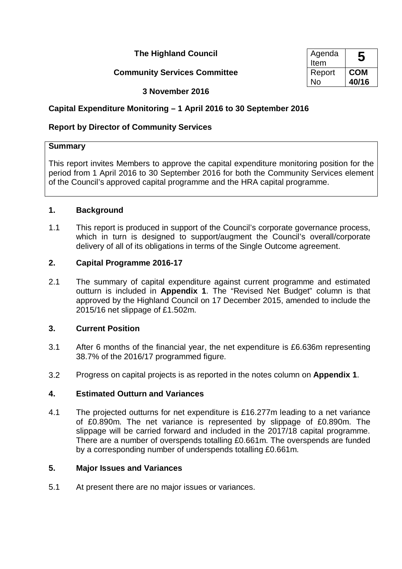**The Highland Council** 

## **Community Services Committee**

| Agenda<br>Item |            |
|----------------|------------|
| Report         | <b>COM</b> |
| No             | 40/16      |

## **3 November 2016**

# **Capital Expenditure Monitoring – 1 April 2016 to 30 September 2016**

# **Report by Director of Community Services**

## **Summary**

This report invites Members to approve the capital expenditure monitoring position for the period from 1 April 2016 to 30 September 2016 for both the Community Services element of the Council's approved capital programme and the HRA capital programme.

## **1. Background**

1.1 This report is produced in support of the Council's corporate governance process, which in turn is designed to support/augment the Council's overall/corporate delivery of all of its obligations in terms of the Single Outcome agreement.

## **2. Capital Programme 2016-17**

2.1 The summary of capital expenditure against current programme and estimated outturn is included in **Appendix 1**. The "Revised Net Budget" column is that approved by the Highland Council on 17 December 2015, amended to include the 2015/16 net slippage of £1.502m.

# **3. Current Position**

- 3.1 After 6 months of the financial year, the net expenditure is £6.636m representing 38.7% of the 2016/17 programmed figure.
- 3.2 Progress on capital projects is as reported in the notes column on **Appendix 1**.

## **4. Estimated Outturn and Variances**

4.1 The projected outturns for net expenditure is £16.277m leading to a net variance of £0.890m. The net variance is represented by slippage of £0.890m. The slippage will be carried forward and included in the 2017/18 capital programme. There are a number of overspends totalling £0.661m. The overspends are funded by a corresponding number of underspends totalling £0.661m.

## **5. Major Issues and Variances**

5.1 At present there are no major issues or variances.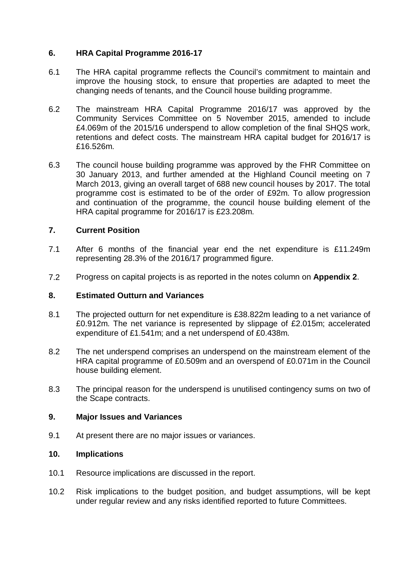## **6. HRA Capital Programme 2016-17**

- 6.1 The HRA capital programme reflects the Council's commitment to maintain and improve the housing stock, to ensure that properties are adapted to meet the changing needs of tenants, and the Council house building programme.
- 6.2 The mainstream HRA Capital Programme 2016/17 was approved by the Community Services Committee on 5 November 2015, amended to include £4.069m of the 2015/16 underspend to allow completion of the final SHQS work, retentions and defect costs. The mainstream HRA capital budget for 2016/17 is £16.526m.
- 6.3 The council house building programme was approved by the FHR Committee on 30 January 2013, and further amended at the Highland Council meeting on 7 March 2013, giving an overall target of 688 new council houses by 2017. The total programme cost is estimated to be of the order of £92m. To allow progression and continuation of the programme, the council house building element of the HRA capital programme for 2016/17 is £23.208m.

## **7. Current Position**

- 7.1 After 6 months of the financial year end the net expenditure is £11.249m representing 28.3% of the 2016/17 programmed figure.
- 7.2 Progress on capital projects is as reported in the notes column on **Appendix 2**.

#### **8. Estimated Outturn and Variances**

- 8.1 The projected outturn for net expenditure is £38.822m leading to a net variance of £0.912m. The net variance is represented by slippage of £2.015m; accelerated expenditure of £1.541m; and a net underspend of £0.438m.
- 8.2 The net underspend comprises an underspend on the mainstream element of the HRA capital programme of £0.509m and an overspend of £0.071m in the Council house building element.
- 8.3 The principal reason for the underspend is unutilised contingency sums on two of the Scape contracts.

#### **9. Major Issues and Variances**

9.1 At present there are no major issues or variances.

## **10. Implications**

- 10.1 Resource implications are discussed in the report.
- 10.2 Risk implications to the budget position, and budget assumptions, will be kept under regular review and any risks identified reported to future Committees.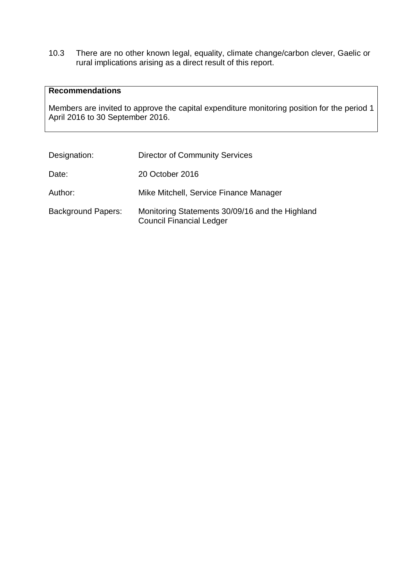10.3 There are no other known legal, equality, climate change/carbon clever, Gaelic or rural implications arising as a direct result of this report.

#### **Recommendations**

Members are invited to approve the capital expenditure monitoring position for the period 1 April 2016 to 30 September 2016.

| Designation:              | <b>Director of Community Services</b>                                              |
|---------------------------|------------------------------------------------------------------------------------|
| Date:                     | 20 October 2016                                                                    |
| Author:                   | Mike Mitchell, Service Finance Manager                                             |
| <b>Background Papers:</b> | Monitoring Statements 30/09/16 and the Highland<br><b>Council Financial Ledger</b> |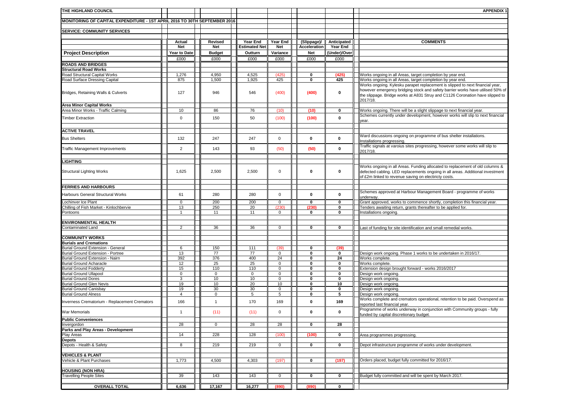| THE HIGHLAND COUNCIL                                                      |                |                 |                      |                                    |                  |                  | <b>APPENDIX 1</b>                                                                                                                                                                                                                                            |
|---------------------------------------------------------------------------|----------------|-----------------|----------------------|------------------------------------|------------------|------------------|--------------------------------------------------------------------------------------------------------------------------------------------------------------------------------------------------------------------------------------------------------------|
| MONITORING OF CAPITAL EXPENDITURE - 1ST APRIL 2016 TO 30TH SEPTEMBER 2016 |                |                 |                      |                                    |                  |                  |                                                                                                                                                                                                                                                              |
|                                                                           |                |                 |                      |                                    |                  |                  |                                                                                                                                                                                                                                                              |
| <b>SERVICE: COMMUNITY SERVICES</b>                                        |                |                 |                      |                                    |                  |                  |                                                                                                                                                                                                                                                              |
|                                                                           | Actual         | Revised         | Year End             | Year End                           | (Slippage)/      | Anticipated      | <b>COMMENTS</b>                                                                                                                                                                                                                                              |
|                                                                           | Net            | <b>Net</b>      | <b>Estimated Net</b> | Net                                | Acceleration     | Year End         |                                                                                                                                                                                                                                                              |
| <b>Project Description</b>                                                | Year to Date   | <b>Budget</b>   | Outturn              | Variance                           | Net              | (Under)/Over     |                                                                                                                                                                                                                                                              |
|                                                                           | £000           | £000            | £000                 | £000                               | £000             | £000             |                                                                                                                                                                                                                                                              |
| <b>ROADS AND BRIDGES</b>                                                  |                |                 |                      |                                    |                  |                  |                                                                                                                                                                                                                                                              |
| <b>Structural Road Works</b>                                              |                |                 |                      |                                    |                  |                  |                                                                                                                                                                                                                                                              |
| Road Structural Capital Works<br>Road Surface Dressing Capital            | 1,276<br>875   | 4,950<br>1,500  | 4,525<br>1,925       | (425)<br>425                       | 0<br>0           | (425)<br>425     | Works ongoing in all Areas, target completion by year end.<br>Works ongoing in all Areas, target completion by year end.                                                                                                                                     |
| Bridges, Retaining Walls & Culverts                                       | 127            | 946             | 546                  | (400)                              | (400)            | 0                | Works ongoing. Kylesku parapet replacement is slipped to next financial year,<br>however emergency bridging stock and safety barrier works have utilised 50% of<br>the slippage. Bridge works at A831 Struy and C1126 Coronation have slipped to<br>2017/18. |
| <b>Area Minor Capital Works</b>                                           |                |                 |                      |                                    |                  |                  |                                                                                                                                                                                                                                                              |
| Area Minor Works - Traffic Calming                                        | 10             | 86              | 76                   | (10)                               | (10)             | $\bf{0}$         | Works ongoing. There will be a slight slippage to next financial year.                                                                                                                                                                                       |
| <b>Timber Extraction</b>                                                  | 0              | 150             | 50                   | (100)                              | (100)            | $\bf{0}$         | Schemes currently under development, however works will slip to next financial<br>year.                                                                                                                                                                      |
| <b>ACTIVE TRAVEL</b>                                                      |                |                 |                      |                                    |                  |                  |                                                                                                                                                                                                                                                              |
| <b>Bus Shelters</b>                                                       | 132            | 247             | 247                  | $\mathbf 0$                        | $\mathbf{0}$     | 0                | Ward discussions ongoing on programme of bus shelter installations.<br>nstallations progressing.                                                                                                                                                             |
| <b>Traffic Management Improvements</b>                                    | $\overline{2}$ | 143             | 93                   | (50)                               | (50)             | 0                | Traffic signals at varoius sites progressing, however some works will slip to<br>2017/18.                                                                                                                                                                    |
| <b>LIGHTING</b>                                                           |                |                 |                      |                                    |                  |                  |                                                                                                                                                                                                                                                              |
| <b>Structural Lighting Works</b>                                          | 1,625          | 2,500           | 2,500                | 0                                  | 0                | 0                | Works ongoing in all Areas. Funding allocated to replacement of old columns &<br>defected cabling. LED replacements ongoing in all areas. Additional investment<br>of £2m linked to revenue saving on electiricty costs.                                     |
| <b>FERRIES AND HARBOURS</b>                                               |                |                 |                      |                                    |                  |                  |                                                                                                                                                                                                                                                              |
|                                                                           |                |                 |                      |                                    |                  |                  | Schemes approved at Harbour Management Board - programme of works                                                                                                                                                                                            |
| Harbours General Structural Works                                         | 61             | 280             | 280                  | $\mathsf{O}\xspace$                | 0                | 0                | inderway.                                                                                                                                                                                                                                                    |
| ochinver Ice Plant                                                        | 0              | 200             | 200                  | 0                                  | 0                | $\bf{0}$         | Grant approved, works to commence shortly, completion this financial year.                                                                                                                                                                                   |
| Chilling of Fish Market - Kinlochbervie<br>Pontoons                       | 13<br>1        | 250<br>11       | 20<br>11             | (230)<br>0                         | 230<br>0         | $\bf{0}$<br>0    | enders awaiting return, grants thereafter to be applied for.<br>nstallations ongoing.                                                                                                                                                                        |
|                                                                           |                |                 |                      |                                    |                  |                  |                                                                                                                                                                                                                                                              |
| <b>ENVIRONMENTAL HEALTH</b>                                               |                |                 |                      |                                    |                  |                  |                                                                                                                                                                                                                                                              |
| Contaminated Land                                                         | $\overline{2}$ | 36              | 36                   | 0                                  | 0                | $\bf{0}$         | Last of funding for site identification and small remedial works.                                                                                                                                                                                            |
| <b>COMMUNITY WORKS</b>                                                    |                |                 |                      |                                    |                  |                  |                                                                                                                                                                                                                                                              |
| <b>Burials and Cremations</b>                                             |                |                 |                      |                                    |                  |                  |                                                                                                                                                                                                                                                              |
| <b>Burial Ground Extension - General</b>                                  | 6              | 150             | 111                  | (39)                               | 0                | (39)             |                                                                                                                                                                                                                                                              |
| <b>Burial Ground Extension - Portree</b>                                  | 13             | $\overline{77}$ | $\overline{77}$      | $\mathsf 0$                        | 0                | 0                | Design work ongoing. Phase 1 works to be undertaken in 2016/17.                                                                                                                                                                                              |
| Burial Ground Extension - Nairn                                           | 392            | 376             | 400                  | 24                                 | 0                | 24               | Works complete.                                                                                                                                                                                                                                              |
| <b>Burial Ground Acharacle</b>                                            | 12<br>15       | 25<br>110       | 25<br>110            | $\mathsf 0$<br>$\mathsf{O}\xspace$ | 0<br>$\mathbf 0$ | $\mathbf 0$<br>0 | Norks complete.                                                                                                                                                                                                                                              |
| <b>Burial Ground Fodderty</b><br><b>Burial Ground Ullapool</b>            | $\mathbf 0$    | $\mathbf 0$     | $\mathsf 0$          | $\mathsf 0$                        | 0                | $\pmb{0}$        | Extension design brought forward - works 2016/2017<br>Design work ongoing.                                                                                                                                                                                   |
| <b>Burial Ground Dores</b>                                                | 3              | 10              | 10                   | 0                                  | 0                | 0                | Jesign work ongoing.                                                                                                                                                                                                                                         |
| <b>Burial Ground Glen Nevis</b>                                           | 19             | 10              | 20                   | 10                                 | 0                | 10               | Design work ongoing.                                                                                                                                                                                                                                         |
| <b>Burial Ground Canisbay</b>                                             | 19             | 30              | 30                   | 0                                  | 0                | 0                | Design work ongoing.                                                                                                                                                                                                                                         |
| <b>Burial Ground Alness</b>                                               | 4              | 0               | 5                    | 5                                  | 0                | 5                | Design work ongoing.                                                                                                                                                                                                                                         |
| Inverness Crematorium - Replacement Cremators                             | 166            | $\mathbf{1}$    | 170                  | 169                                | 0                | 169              | Works complete and cremators operational, retention to be paid. Overspend as<br>reported last financial year.<br>Programme of works underway in conjunction with Community groups - fully                                                                    |
| War Memorials                                                             | -1             | (11)            | (11)                 | 0                                  | 0                | 0                | unded by capital discretionary budget.                                                                                                                                                                                                                       |
| <b>Public Conveniences</b>                                                |                |                 |                      |                                    |                  |                  |                                                                                                                                                                                                                                                              |
| Invergordon<br>Parks and Play Areas - Development                         | 28             | 0               | 28                   | 28                                 | 0                | 28               |                                                                                                                                                                                                                                                              |
| Play Areas                                                                | 14             | 228             | 128                  | (100)                              | (100)            | 0                | Area programmes progressing.                                                                                                                                                                                                                                 |
| <b>Depots</b>                                                             |                |                 |                      |                                    |                  |                  |                                                                                                                                                                                                                                                              |
| Depots - Health & Safety                                                  | 8              | 219             | 219                  | $\mathbf 0$                        | 0                | 0                | Depot infrastructure programme of works under development.                                                                                                                                                                                                   |
|                                                                           |                |                 |                      |                                    |                  |                  |                                                                                                                                                                                                                                                              |
| <b>VEHICLES &amp; PLANT</b><br>Vehicle & Plant Purchases                  | 1,773          | 4,500           |                      | (197)                              | 0                | (197)            | Orders placed, budget fully committed for 2016/17.                                                                                                                                                                                                           |
|                                                                           |                |                 | 4,303                |                                    |                  |                  |                                                                                                                                                                                                                                                              |
| <b>HOUSING (NON HRA)</b>                                                  |                |                 |                      |                                    |                  |                  |                                                                                                                                                                                                                                                              |
| <b>Travelling People Sites</b>                                            | 39             | 143             | 143                  | 0                                  | 0                | $\mathbf 0$      | Budget fully committed and will be spent by March 2017.                                                                                                                                                                                                      |
|                                                                           |                |                 |                      |                                    |                  |                  |                                                                                                                                                                                                                                                              |
| <b>OVERALL TOTAL</b>                                                      | 6,636          | 17,167          | 16,277               | (890)                              | (890)            | $\mathbf 0$      |                                                                                                                                                                                                                                                              |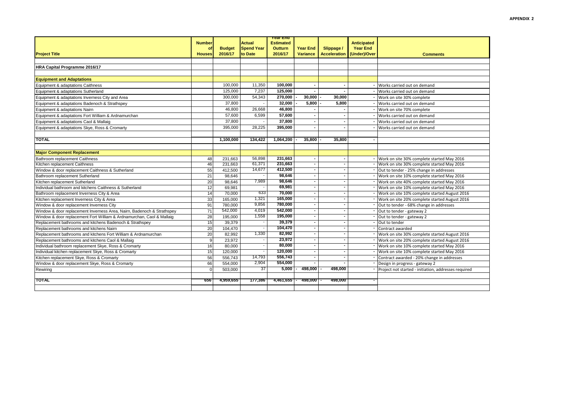|                                                                        | <b>Number</b> |               | <b>Actual</b>     | rear End<br><b>Estimated</b> |                          |                     | <b>Anticipated</b> |                                                      |
|------------------------------------------------------------------------|---------------|---------------|-------------------|------------------------------|--------------------------|---------------------|--------------------|------------------------------------------------------|
|                                                                        | of            | <b>Budget</b> | <b>Spend Year</b> | <b>Outturn</b>               | <b>Year End</b>          | Slippage /          | <b>Year End</b>    |                                                      |
| <b>Project Title</b>                                                   | <b>Houses</b> | 2016/17       | to Date           | 2016/17                      | <b>Variance</b>          | <b>Acceleration</b> | (Under)/Over       | <b>Comments</b>                                      |
|                                                                        |               |               |                   |                              |                          |                     |                    |                                                      |
| HRA Capital Programme 2016/17                                          |               |               |                   |                              |                          |                     |                    |                                                      |
|                                                                        |               |               |                   |                              |                          |                     |                    |                                                      |
| <b>Equipment and Adaptations</b>                                       |               |               |                   |                              |                          |                     |                    |                                                      |
| Equipment & adaptations Caithness                                      |               | 100,000       | 11,350            | 100,000                      |                          |                     |                    | Works carried out on demand                          |
| Equipment & adaptations Sutherland                                     |               | 125,000       | 7,237             | 125,000                      |                          |                     |                    | Works carried out on demand                          |
| Equipment & adaptations Inverness City and Area                        |               | 300,000       | 54,343            | 270,000                      | 30,000                   | 30,000              |                    | Work on site 30% complete                            |
| Equipment & adaptations Badenoch & Strathspey                          |               | 37,800        |                   | 32,000                       | 5.800                    | 5.800               |                    | Works carried out on demand                          |
| Equipment & adaptations Nairn                                          |               | 46,800        | 26,668            | 46,800                       |                          |                     |                    | Work on site 70% complete                            |
| Equipment & adaptations Fort William & Ardnamurchan                    |               | 57,600        | 6,599             | 57,600                       |                          |                     |                    | Works carried out on demand                          |
| Equipment & adaptations Caol & Mallaig                                 |               | 37,800        |                   | 37,800                       |                          |                     |                    | Works carried out on demand                          |
| Equipment & adaptations Skye, Ross & Cromarty                          |               | 395.000       | 28.225            | 395.000                      |                          |                     |                    | Works carried out on demand                          |
|                                                                        |               |               |                   |                              |                          |                     |                    |                                                      |
| <b>TOTAL</b>                                                           |               | 1.100.000     | 134,422           | 1.064.200                    | 35,800                   | 35.800              |                    |                                                      |
|                                                                        |               |               |                   |                              |                          |                     |                    |                                                      |
| <b>Major Component Replacement</b>                                     |               |               |                   |                              |                          |                     |                    |                                                      |
| Bathroom replacement Caithness                                         | 48            | 231,663       | 56,898            | 231.663                      |                          |                     |                    | Work on site 30% complete started May 2016           |
| Kitchen replacement Caithness                                          | 46            | 231.663       | 61,371            | 231,663                      | $\overline{\phantom{0}}$ |                     |                    | Work on site 30% complete started May 2016           |
| Window & door replacement Caithness & Sutherland                       | 55            | 412.500       | 14,677            | 412,500                      | $\blacksquare$           |                     |                    | Out to tender - 25% change in addresses              |
| Bathroom replacement Sutherland                                        | 21            | 98,646        |                   | 98,646                       | ٠                        |                     |                    | Work on site 10% complete started May 2016           |
| Kitchen replacement Sutherland                                         | 20            | 98.646        | 7,989             | 98,646                       |                          |                     |                    | Work on site 40% complete started May 2016           |
| Individual bathroom and kitchens Caithness & Sutherland                | 12            | 69.981        |                   | 69,981                       | ۰.                       |                     |                    | Work on site 10% complete started May 2016           |
| Bathroom replacement Inverness City & Area                             | 14            | 70,000        | 633               | 70,000                       |                          |                     |                    | Work on site 10% complete started August 2016        |
| Kitchen replacement Inverness City & Area                              | 33            | 165,000       | 1,321             | 165,000                      |                          |                     |                    | Work on site 20% complete started August 2016        |
| Window & door replacement Inverness City                               | 91            | 780,000       | 9,856             | 780,000                      |                          |                     |                    | Out to tender - 68% change in addresses              |
| Window & door replacement Inverness Area, Nairn, Badenoch & Strathspey | 71            | 542,000       | 4,019             | 542.000                      | ٠                        |                     |                    | Out to tender - gateway 2                            |
| Window & door replacement Fort William & Ardnamurchan, Caol & Mallaig  | 28            | 195,000       | 1,558             | 195,000                      |                          |                     |                    | Out to tender - gateway 2                            |
| Replacement bathrooms and kitchens Badenoch & Strathspey               | 15            | 39,379        |                   | 39,379                       | $\blacksquare$           |                     |                    | Out to tender                                        |
| Replacement bathrooms and kitchens Nairn                               | 20            | 104,470       |                   | 104,470                      |                          |                     |                    | Contract awarded                                     |
| Replacement bathrooms and kitchens Fort William & Ardnamurchan         | 20            | 82.992        | 1,330             | 82,992                       |                          |                     |                    | Work on site 30% complete started August 2016        |
| Replacement bathrooms and kitchens Caol & Mallaig                      | 9             | 23,972        |                   | 23,972                       |                          |                     |                    | Work on site 20% complete started August 2016        |
| Individual bathroom replacement Skye, Ross & Cromarty                  | 16            | 80,000        |                   | 80.000                       |                          |                     |                    | Work on site 10% complete started May 2016           |
| Individual kitchen replacement Skye, Ross & Cromarty                   | 15            | 120,000       |                   | 120,000                      |                          |                     |                    | Work on site 10% complete started May 2016           |
| Kitchen replacement Skye, Ross & Cromarty                              | 56            | 556,743       | 14,793            | 556,743                      |                          |                     |                    | Contract awarded - 20% change in addresses           |
| Window & door replacement Skye, Ross & Cromarty                        | 66            | 554,000       | 2,904             | 554,000                      |                          |                     |                    | Design in progress - gateway 2                       |
| Rewiring                                                               | $\Omega$      | 503.000       | 37                | 5,000                        | 498,000                  | 498,000             |                    | Project not started - initiation, addresses required |
|                                                                        |               |               |                   |                              |                          |                     |                    |                                                      |
| TOTAL                                                                  | 656           | 4,959,655     | 177,386           | 4,461,655                    | 498,000                  | 498,000             |                    |                                                      |
|                                                                        |               |               |                   |                              |                          |                     |                    |                                                      |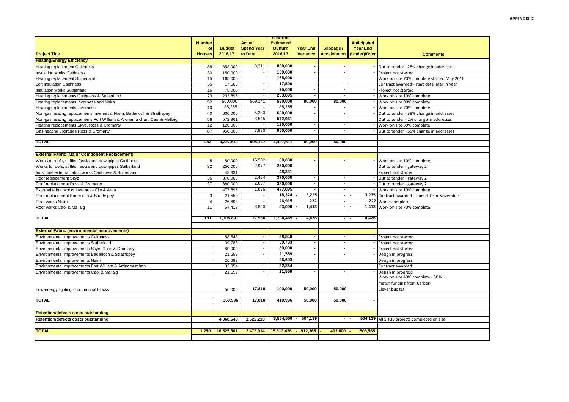|                                                                          |                           |                          |                              | <u>rear End</u>           |                             |                                   |                                 |                                                 |  |
|--------------------------------------------------------------------------|---------------------------|--------------------------|------------------------------|---------------------------|-----------------------------|-----------------------------------|---------------------------------|-------------------------------------------------|--|
|                                                                          | <b>Number</b>             |                          | <b>Actual</b>                | <b>Estimated</b>          |                             |                                   | <b>Anticipated</b>              |                                                 |  |
| <b>Project Title</b>                                                     | $\Omega$<br><b>Houses</b> | <b>Budget</b><br>2016/17 | <b>Spend Year</b><br>to Date | <b>Outturn</b><br>2016/17 | Year End<br><b>Variance</b> | Slippage /<br><b>Acceleration</b> | <b>Year End</b><br>(Under)/Over |                                                 |  |
|                                                                          |                           |                          |                              |                           |                             |                                   |                                 | <b>Comments</b>                                 |  |
| <b>Heating/Energy Efficiency</b>                                         |                           |                          |                              |                           |                             |                                   |                                 |                                                 |  |
| Heating replacement Caithness                                            | 88                        | 858,000                  | 8,311                        | 858,000                   |                             |                                   |                                 | Out to tender - 28% change in addresses         |  |
| Insulation works Caithness                                               | 30                        | 150,000                  |                              | 150,000<br>165,000        |                             |                                   |                                 | Project not started                             |  |
| Heating replacement Sutherland                                           | 15                        | 165,000                  |                              | 17,500                    |                             |                                   |                                 | Work on site 70% complete started May 2016      |  |
| Loft insulation Caithness                                                | 35                        | 17,500                   |                              |                           |                             |                                   |                                 | Contract awarded - start date later in year     |  |
| Insulation works Sutherland                                              | 15                        | 75,000                   |                              | 75,000                    | $\overline{\phantom{a}}$    | $\sim$                            |                                 | Project not started                             |  |
| Heating replacements Caithness & Sutherland                              | 23                        | 233.895                  |                              | 233,895                   |                             |                                   |                                 | Work on site 10% complete                       |  |
| Heating replacements Inverness and Nairn                                 | 52                        | 500,000                  | 569,141                      | 580,000                   | 80.000                      | 80.000                            |                                 | Work on site 90% complete                       |  |
| Heating replacements Inverness                                           | 10                        | 85,255                   |                              | 85,255                    |                             |                                   |                                 | Work on site 70% complete                       |  |
| Non-gas heating replacements Inverness, Nairn, Badenoch & Strathspey     | 40                        | 600.000                  | 5,230                        | 600,000                   |                             | $\overline{\phantom{a}}$          |                                 | Out to tender - 38% change in addresses         |  |
| Non-gas heating replacements Fort William & Ardnamurchan, Caol & Mallaig | 56                        | 572.961                  | 3,545                        | 572,961                   |                             |                                   |                                 | Out to tender - 2% change in addresses          |  |
| Heating replacements Skye, Ross & Cromarty                               | 12                        | 120,000                  |                              | 120,000                   |                             | $\overline{\phantom{a}}$          |                                 | Work on site 30% complete                       |  |
| Gas heating upgrades Ross & Cromarty                                     | 87                        | 950.000                  | 7,920                        | 950,000                   |                             |                                   |                                 | Out to tender - 65% change in addresses         |  |
| TOTAL                                                                    | 463                       | 4,327,611                | 594,147                      | 4,407,611                 | 80,000                      | 80.000                            |                                 |                                                 |  |
|                                                                          |                           |                          |                              |                           |                             |                                   |                                 |                                                 |  |
| <b>External Fabric (Major Component Replacement)</b>                     |                           |                          |                              |                           |                             |                                   |                                 |                                                 |  |
| Works to roofs, soffits, fascia and downpipes Caithness                  | 8                         | 80,000                   | 15,582                       | 80.000                    |                             |                                   |                                 | Work on site 10% complete                       |  |
| Works to roofs, soffits, fascia and downpipes Sutherland                 | 32                        | 250,000                  | 2,977                        | 250,000                   |                             | $\sim$                            |                                 | - Out to tender - gateway 2                     |  |
| Individual external fabric works Caithness & Sutherland                  |                           | 48.331                   |                              | 48,331                    |                             |                                   |                                 | Project not started                             |  |
| Roof replacement Skve                                                    | 36                        | 370.000                  | 2,434                        | 370,000                   |                             | $\overline{\phantom{a}}$          |                                 | - Out to tender - gateway 2                     |  |
| Roof replacement Ross & Cromarty                                         | 37                        | 380.000                  | 2,067                        | 380.000                   |                             |                                   |                                 | Out to tender - gateway 2                       |  |
| External fabric works Inverness City & Area                              |                           | 477,895                  | 1,026                        | 477,895                   |                             |                                   |                                 | Work on site 10% complete                       |  |
| Roof replacement Badenoch & Strathspey                                   | 3                         | 21,559                   |                              | 18,324                    | 3,235                       | $\overline{\phantom{a}}$          |                                 | 3,235 Contract awarded - start date in November |  |
| Roof works Nairn                                                         |                           | 26,693                   |                              | 26,915                    | 222                         |                                   |                                 | 222 Works complete                              |  |
| Roof works Caol & Mallaig                                                | 11                        | 54,413                   | 3,850                        | 53,000                    | 1,413                       |                                   |                                 | 1,413 Work on site 70% complete                 |  |
|                                                                          |                           |                          |                              |                           |                             |                                   |                                 |                                                 |  |
| TOTAL                                                                    | 131                       | 1,708,891                | 27,936                       | 1,704,465                 | 4,426                       |                                   | 4,426                           |                                                 |  |
|                                                                          |                           |                          |                              |                           |                             |                                   |                                 |                                                 |  |
| <b>External Fabric (environmental improvements)</b>                      |                           |                          |                              |                           |                             |                                   |                                 |                                                 |  |
| <b>Environmental improvements Caithness</b>                              |                           | 88,548                   |                              | 88,548                    |                             |                                   |                                 | Project not started                             |  |
| Environmental improvements Sutherland                                    |                           | 39,783                   |                              | 39,783                    |                             |                                   |                                 | Project not started                             |  |
| Environmental improvements Skye, Ross & Cromarty                         |                           | 80,000                   |                              | 80,000                    |                             |                                   |                                 | Project not started                             |  |
| Environmental improvements Badenoch & Strathspey                         |                           | 21,559                   |                              | 21,559                    |                             |                                   |                                 | Design in progress                              |  |
| Environmental improvements Nairn                                         |                           | 26.693                   |                              | 26,693                    |                             |                                   |                                 | Design in progress                              |  |
| Environmental improvements Fort William & Ardnamurchan                   |                           | 32,854                   |                              | 32,854                    |                             |                                   |                                 | Contract awarded                                |  |
| Environmental improvements Caol & Mallaig                                |                           | 21,559                   |                              | 21,559                    |                             |                                   |                                 | Design in progress                              |  |
|                                                                          |                           |                          |                              |                           |                             |                                   |                                 | Work on site 40% complete - 50%                 |  |
|                                                                          |                           |                          |                              |                           |                             |                                   |                                 | match funding from Carbon                       |  |
| Low-energy lighting in communal blocks                                   |                           | 50,000                   | 17,810                       | 100.000                   | 50,000                      | 50.000                            |                                 | Clever budget                                   |  |
|                                                                          |                           |                          |                              |                           |                             |                                   |                                 |                                                 |  |
| <b>TOTAL</b>                                                             |                           | 360,996                  | 17,810                       | 410,996                   | 50,000                      | 50,000                            |                                 |                                                 |  |
|                                                                          |                           |                          |                              |                           |                             |                                   |                                 |                                                 |  |
| <b>Retention/defects costs outstanding</b>                               |                           |                          |                              |                           |                             |                                   |                                 |                                                 |  |
| Retention/defects costs outstanding                                      |                           | 4.068.648                | 1.522.213                    | 3,564,509                 | 504,139<br>ь.               |                                   |                                 | 504,139 All SHQS projects completed on site     |  |
|                                                                          |                           |                          |                              |                           |                             |                                   |                                 |                                                 |  |
| <b>TOTAL</b>                                                             | 1.250                     | 16,525,801               | 2,473,914                    | 15,613,436                | $-912,365$                  | 403.800                           | 508.565                         |                                                 |  |
|                                                                          |                           |                          |                              |                           |                             |                                   |                                 |                                                 |  |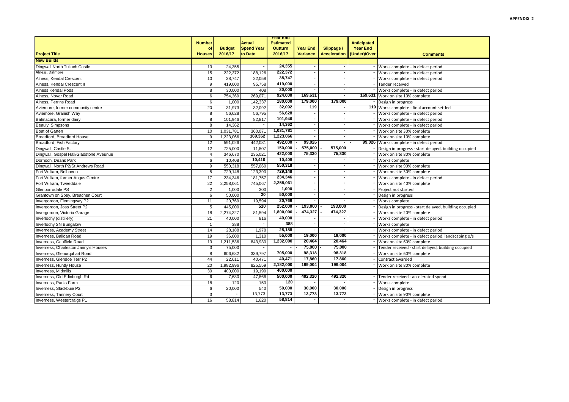| <b>Number</b><br><b>Houses</b><br>13<br>15<br>10 | <b>Budget</b><br>2016/17<br>24,355                                                                                              | Actual<br><b>Spend Year</b><br>to Date                                                                                                                                | <b>Estimated</b><br><b>Outturn</b><br>2016/17                                                                                             | <b>Year End</b><br>Variance                                                                                         | Slippage /<br>Acceleration (Under)/Over       | <b>Anticipated</b><br><b>Year End</b>      | <b>Comments</b>                                       |
|--------------------------------------------------|---------------------------------------------------------------------------------------------------------------------------------|-----------------------------------------------------------------------------------------------------------------------------------------------------------------------|-------------------------------------------------------------------------------------------------------------------------------------------|---------------------------------------------------------------------------------------------------------------------|-----------------------------------------------|--------------------------------------------|-------------------------------------------------------|
|                                                  |                                                                                                                                 |                                                                                                                                                                       |                                                                                                                                           |                                                                                                                     |                                               |                                            |                                                       |
|                                                  |                                                                                                                                 |                                                                                                                                                                       |                                                                                                                                           |                                                                                                                     |                                               |                                            |                                                       |
|                                                  |                                                                                                                                 |                                                                                                                                                                       |                                                                                                                                           |                                                                                                                     |                                               |                                            |                                                       |
|                                                  |                                                                                                                                 |                                                                                                                                                                       |                                                                                                                                           |                                                                                                                     |                                               |                                            |                                                       |
|                                                  |                                                                                                                                 | $\overline{\phantom{a}}$                                                                                                                                              | 24,355                                                                                                                                    |                                                                                                                     |                                               |                                            | Works complete - in defect period                     |
|                                                  | 222,372                                                                                                                         | 188,126                                                                                                                                                               | 222,372                                                                                                                                   |                                                                                                                     |                                               |                                            | Works complete - in defect period                     |
|                                                  | 38,747                                                                                                                          | 22.058                                                                                                                                                                | 38.747                                                                                                                                    |                                                                                                                     |                                               |                                            | Works complete - in defect period                     |
| 9                                                | 419,000                                                                                                                         | 95,758                                                                                                                                                                | 419,000                                                                                                                                   |                                                                                                                     |                                               |                                            | Tender received                                       |
|                                                  |                                                                                                                                 |                                                                                                                                                                       |                                                                                                                                           |                                                                                                                     | $\overline{\phantom{a}}$                      |                                            | Works complete - in defect period                     |
|                                                  |                                                                                                                                 |                                                                                                                                                                       |                                                                                                                                           |                                                                                                                     |                                               |                                            | 169,631 Work on site 10% complete                     |
| 6                                                | 1,000                                                                                                                           | 142,337                                                                                                                                                               |                                                                                                                                           |                                                                                                                     |                                               |                                            | Design in progress                                    |
| 20                                               | 31,973                                                                                                                          | 32,092                                                                                                                                                                |                                                                                                                                           |                                                                                                                     |                                               |                                            | 119 Works complete - final account settled            |
| 8                                                |                                                                                                                                 |                                                                                                                                                                       |                                                                                                                                           |                                                                                                                     |                                               |                                            | Works complete - in defect period                     |
| 8                                                |                                                                                                                                 | 82,817                                                                                                                                                                |                                                                                                                                           |                                                                                                                     |                                               |                                            | Works complete - in defect period                     |
| 8                                                | 14,362                                                                                                                          |                                                                                                                                                                       | 14,362                                                                                                                                    |                                                                                                                     |                                               |                                            | Works complete - in defect period                     |
| 10                                               | 1,031,781                                                                                                                       | 360.071                                                                                                                                                               | 1,031,781                                                                                                                                 |                                                                                                                     |                                               |                                            | Work on site 30% complete                             |
| 9                                                | 1,223,066                                                                                                                       | 169.362                                                                                                                                                               |                                                                                                                                           |                                                                                                                     |                                               |                                            | Work on site 10% complete                             |
| 12                                               | 591,026                                                                                                                         | 442.031                                                                                                                                                               | 492,000                                                                                                                                   | 99,026                                                                                                              | $\sim$                                        |                                            | 99,026 Works complete - in defect period              |
| 12                                               | 725,000                                                                                                                         | 11,807                                                                                                                                                                | 150,000                                                                                                                                   |                                                                                                                     | 575,000                                       |                                            | Design in progress - start delayed, building occupied |
| $\overline{4}$                                   | 346,670                                                                                                                         | 235.021                                                                                                                                                               | 422,000                                                                                                                                   | 75,330                                                                                                              | 75,330                                        |                                            | Work on site 80% complete                             |
| 6                                                | 10,408                                                                                                                          | 10,410                                                                                                                                                                | 10,408                                                                                                                                    |                                                                                                                     |                                               |                                            | Works complete                                        |
| 9                                                | 550,318                                                                                                                         | 557,060                                                                                                                                                               | 550.318                                                                                                                                   |                                                                                                                     |                                               |                                            | Work on site 90% complete                             |
| 5                                                | 729.148                                                                                                                         | 123.390                                                                                                                                                               | 729,148                                                                                                                                   |                                                                                                                     | $\overline{\phantom{a}}$                      |                                            | Work on site 30% complete                             |
| 17                                               | 234,346                                                                                                                         | 181.757                                                                                                                                                               | 234,346                                                                                                                                   |                                                                                                                     | ٠                                             |                                            | Works complete - in defect period                     |
|                                                  | 2,258,061                                                                                                                       | 745,067                                                                                                                                                               | 2,258,061                                                                                                                                 |                                                                                                                     |                                               |                                            | Work on site 40% complete                             |
|                                                  | 1,000                                                                                                                           | 300                                                                                                                                                                   | 1,000                                                                                                                                     |                                                                                                                     |                                               |                                            | Project not started                                   |
| 6                                                | 50,000                                                                                                                          | 20                                                                                                                                                                    | 50.000                                                                                                                                    |                                                                                                                     |                                               |                                            | Design in progress                                    |
| 11                                               | 20.769                                                                                                                          | 19.594                                                                                                                                                                | 20,769                                                                                                                                    |                                                                                                                     |                                               |                                            | Works complete                                        |
|                                                  |                                                                                                                                 | 510                                                                                                                                                                   | 252,000                                                                                                                                   | 193,000                                                                                                             | 193,000                                       |                                            | Design in progress - start delayed, building occupied |
|                                                  |                                                                                                                                 |                                                                                                                                                                       | 1,800,000                                                                                                                                 | 474,327                                                                                                             | 474,327                                       |                                            | Work on site 20% complete                             |
|                                                  |                                                                                                                                 |                                                                                                                                                                       | 40,000                                                                                                                                    |                                                                                                                     |                                               |                                            | Works complete - in defect period                     |
|                                                  | 388                                                                                                                             |                                                                                                                                                                       | 388                                                                                                                                       |                                                                                                                     |                                               |                                            | Works complete                                        |
|                                                  | 28.188                                                                                                                          | 1.978                                                                                                                                                                 | 28,188                                                                                                                                    |                                                                                                                     |                                               |                                            | Works complete - in defect period                     |
|                                                  |                                                                                                                                 |                                                                                                                                                                       | 55,000                                                                                                                                    | 19,000                                                                                                              | 19,000                                        |                                            | Works complete - in defect period, landscaping o/s    |
|                                                  |                                                                                                                                 |                                                                                                                                                                       |                                                                                                                                           | 20,464                                                                                                              | 20,464                                        |                                            | Work on site 60% complete                             |
|                                                  |                                                                                                                                 |                                                                                                                                                                       |                                                                                                                                           | 75,000                                                                                                              | 75,000                                        |                                            | Tender received - start delayed, building occupied    |
|                                                  |                                                                                                                                 |                                                                                                                                                                       | 705.000                                                                                                                                   | 98.318                                                                                                              | 98.318                                        |                                            | Work on site 60% complete                             |
| 44                                               | 22.611                                                                                                                          | 40.471                                                                                                                                                                | 40,471                                                                                                                                    | 17,860                                                                                                              | 17,860                                        |                                            | Contract awarded                                      |
|                                                  |                                                                                                                                 |                                                                                                                                                                       | 2,182,000                                                                                                                                 | 199,004                                                                                                             | 199,004                                       |                                            | Work on site 80% complete                             |
|                                                  |                                                                                                                                 |                                                                                                                                                                       | 400.000                                                                                                                                   |                                                                                                                     |                                               |                                            |                                                       |
|                                                  |                                                                                                                                 | 47.866                                                                                                                                                                | 500,000                                                                                                                                   | 492,320                                                                                                             | 492,320                                       |                                            | Tender received - accelerated spend                   |
|                                                  |                                                                                                                                 |                                                                                                                                                                       | 120                                                                                                                                       |                                                                                                                     |                                               |                                            | Works complete                                        |
|                                                  |                                                                                                                                 |                                                                                                                                                                       |                                                                                                                                           |                                                                                                                     |                                               |                                            | Design in progress                                    |
|                                                  |                                                                                                                                 |                                                                                                                                                                       |                                                                                                                                           |                                                                                                                     |                                               |                                            | Work on site 90% complete                             |
|                                                  |                                                                                                                                 |                                                                                                                                                                       |                                                                                                                                           |                                                                                                                     |                                               |                                            | Works complete - in defect period                     |
|                                                  | $\overline{8}$<br>6<br>22<br>$\overline{2}$<br>5<br>18<br>21<br>14<br>19<br>13<br>3<br>8<br>20<br>30<br>6<br>18<br>6<br>3<br>16 | 30,000<br>754,369<br>56,628<br>445,000<br>2,274,327<br>40,000<br>36,000<br>1,211,536<br>75,000<br>606,682<br>1,982,996<br>400,000<br>7,680<br>120<br>20,000<br>58,814 | 408<br>269,071<br>56,795<br>101,946<br>81,594<br>816<br>1,310<br>843,930<br>339,797<br>825,559<br>19,199<br>150<br>540<br>13,773<br>1,620 | 30,000<br>924,000<br>180,000<br>32,092<br>56,628<br>101,946<br>1.223.066<br>1,232,000<br>50,000<br>13,773<br>58,814 | 169,631<br>179,000<br>119<br>30,000<br>13,773 | 179,000<br>$575,000$ -<br>30,000<br>13,773 |                                                       |